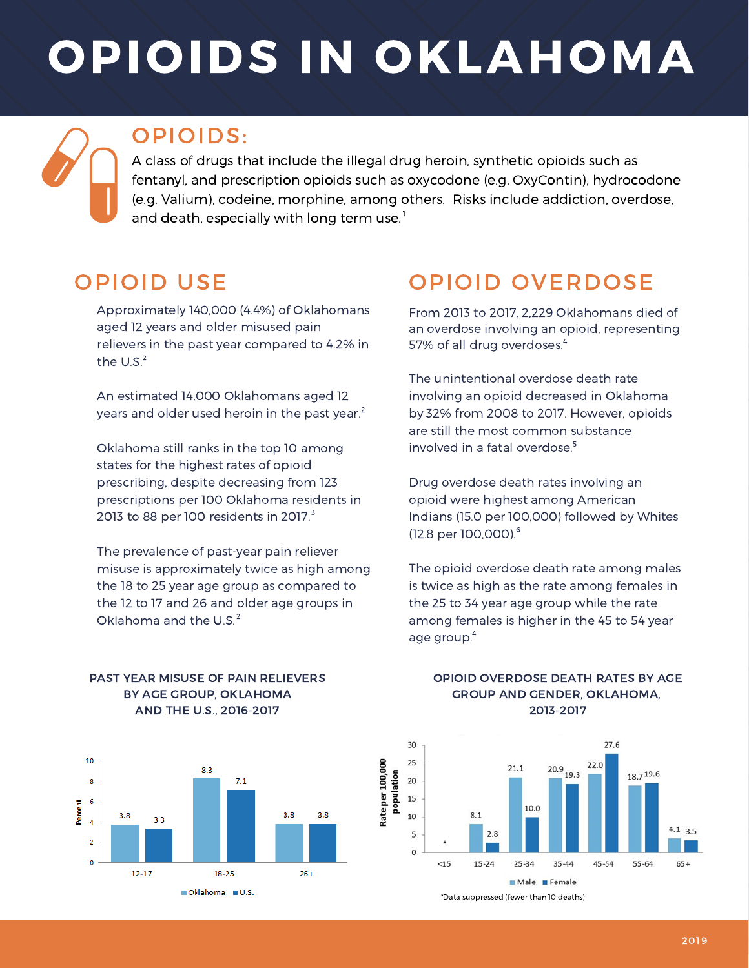# OPIOIDS IN OKLAHOMA

### OPIOIDS:

A class of drugs that include the illegal drug heroin, synthetic opioids such as fentanyl, and prescription opioids such as oxycodone (e.g. OxyContin), hydrocodone (e.g. Valium), codeine, morphine, among others. Risks include addiction, overdose, and death, especially with long term use. $^{\rm !}$ 

Rate per 100,000

## OPIOID USE

Approximately 140,000 (4.4%) of Oklahomans aged 12 years and older misused pain relievers in the past year compared to 4.2% in the  $U.S.^2$ 

An estimated 14,000 Oklahomans aged 12 years and older used heroin in the past year.<sup>2</sup>

Oklahoma still ranks in the top 10 among states for the highest rates of opioid prescribing, despite decreasing from 123 prescriptions per 100 Oklahoma residents in 2013 to 88 per 100 residents in 2017. $^3$ 

The prevalence of past-year pain reliever misuse is approximately twice as high among the 18 to 25 year age group as compared to the 12 to 17 and 26 and older age groups in Oklahoma and the U.S.<sup>2</sup>

## OPIOID OVERDOSE

From 2013 to 2017, 2,229 Oklahomans died of an overdose involving an opioid, representing 57% of all drug overdoses. 4

The unintentional overdose death rate involving an opioid decreased in Oklahoma by 32% from 2008 to 2017. However, opioids are still the most common substance involved in a fatal overdose. 5

Drug overdose death rates involving an opioid were highest among American Indians (15.0 per 100,000) followed by Whites (12.8 per 100,000). 6

The opioid overdose death rate among males is twice as high as the rate among females in the 25 to 34 year age group while the rate among females is higher in the 45 to 54 year age group. 4



#### PAST YEAR MISUSE OF PAIN RELIEVERS BY AGE GROUP, OKLAHOMA AND THE U.S., 2016-2017

#### OPIOID OVERDOSE DEATH RATES BY AGE GROUP AND GENDER, OKLAHOMA, 2013-2017



\*Data suppressed (fewer than 10 deaths)